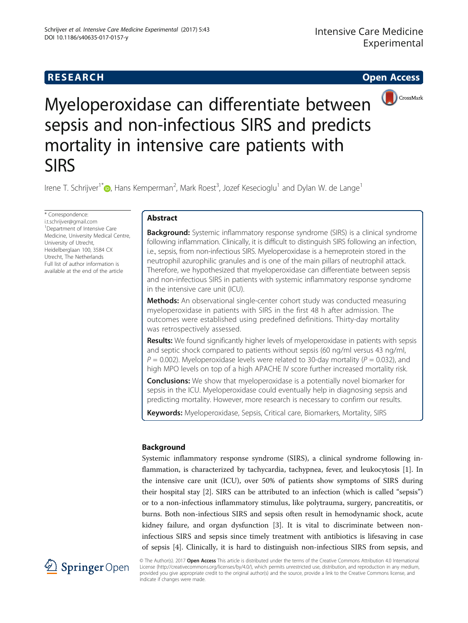# **RESEARCH RESEARCH CONSUMING ACCESS**



Myeloperoxidase can differentiate between sepsis and non-infectious SIRS and predicts mortality in intensive care patients with **SIRS** 

Irene T. Schrijver<sup>1\*</sup>©[,](http://orcid.org/0000-0002-3904-5893) Hans Kemperman<sup>2</sup>, Mark Roest<sup>3</sup>, Jozef Kesecioglu<sup>1</sup> and Dylan W. de Lange<sup>1</sup>

\* Correspondence: [i.t.schrijver@gmail.com](mailto:i.t.schrijver@gmail.com) 1 Department of Intensive Care Medicine, University Medical Centre, University of Utrecht, Heidelberglaan 100, 3584 CX Utrecht, The Netherlands Full list of author information is available at the end of the article

## Abstract

**Background:** Systemic inflammatory response syndrome (SIRS) is a clinical syndrome following inflammation. Clinically, it is difficult to distinguish SIRS following an infection, i.e., sepsis, from non-infectious SIRS. Myeloperoxidase is a hemeprotein stored in the neutrophil azurophilic granules and is one of the main pillars of neutrophil attack. Therefore, we hypothesized that myeloperoxidase can differentiate between sepsis and non-infectious SIRS in patients with systemic inflammatory response syndrome in the intensive care unit (ICU).

**Methods:** An observational single-center cohort study was conducted measuring myeloperoxidase in patients with SIRS in the first 48 h after admission. The outcomes were established using predefined definitions. Thirty-day mortality was retrospectively assessed.

**Results:** We found significantly higher levels of myeloperoxidase in patients with sepsis and septic shock compared to patients without sepsis (60 ng/ml versus 43 ng/ml,  $P = 0.002$ ). Myeloperoxidase levels were related to 30-day mortality ( $P = 0.032$ ), and high MPO levels on top of a high APACHE IV score further increased mortality risk.

**Conclusions:** We show that myeloperoxidase is a potentially novel biomarker for sepsis in the ICU. Myeloperoxidase could eventually help in diagnosing sepsis and predicting mortality. However, more research is necessary to confirm our results.

Keywords: Myeloperoxidase, Sepsis, Critical care, Biomarkers, Mortality, SIRS

## Background

Systemic inflammatory response syndrome (SIRS), a clinical syndrome following inflammation, is characterized by tachycardia, tachypnea, fever, and leukocytosis [[1\]](#page-7-0). In the intensive care unit (ICU), over 50% of patients show symptoms of SIRS during their hospital stay [\[2](#page-7-0)]. SIRS can be attributed to an infection (which is called "sepsis") or to a non-infectious inflammatory stimulus, like polytrauma, surgery, pancreatitis, or burns. Both non-infectious SIRS and sepsis often result in hemodynamic shock, acute kidney failure, and organ dysfunction [\[3](#page-7-0)]. It is vital to discriminate between noninfectious SIRS and sepsis since timely treatment with antibiotics is lifesaving in case of sepsis [\[4\]](#page-7-0). Clinically, it is hard to distinguish non-infectious SIRS from sepsis, and



© The Author(s). 2017 Open Access This article is distributed under the terms of the Creative Commons Attribution 4.0 International License [\(http://creativecommons.org/licenses/by/4.0/](http://creativecommons.org/licenses/by/4.0/)), which permits unrestricted use, distribution, and reproduction in any medium, provided you give appropriate credit to the original author(s) and the source, provide a link to the Creative Commons license, and indicate if changes were made.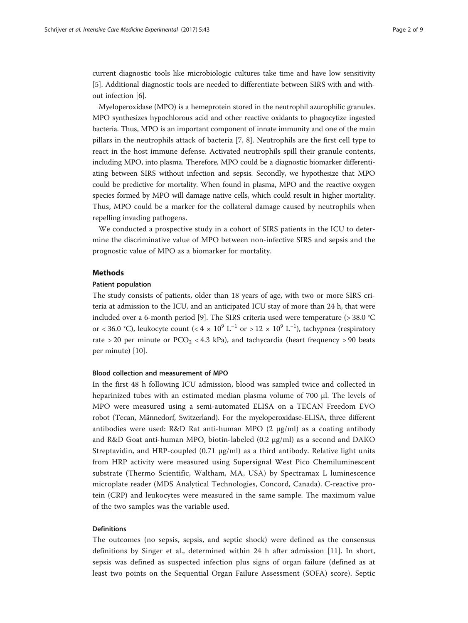current diagnostic tools like microbiologic cultures take time and have low sensitivity [[5\]](#page-7-0). Additional diagnostic tools are needed to differentiate between SIRS with and without infection [\[6](#page-7-0)].

Myeloperoxidase (MPO) is a hemeprotein stored in the neutrophil azurophilic granules. MPO synthesizes hypochlorous acid and other reactive oxidants to phagocytize ingested bacteria. Thus, MPO is an important component of innate immunity and one of the main pillars in the neutrophils attack of bacteria [[7](#page-7-0), [8](#page-7-0)]. Neutrophils are the first cell type to react in the host immune defense. Activated neutrophils spill their granule contents, including MPO, into plasma. Therefore, MPO could be a diagnostic biomarker differentiating between SIRS without infection and sepsis. Secondly, we hypothesize that MPO could be predictive for mortality. When found in plasma, MPO and the reactive oxygen species formed by MPO will damage native cells, which could result in higher mortality. Thus, MPO could be a marker for the collateral damage caused by neutrophils when repelling invading pathogens.

We conducted a prospective study in a cohort of SIRS patients in the ICU to determine the discriminative value of MPO between non-infective SIRS and sepsis and the prognostic value of MPO as a biomarker for mortality.

### Methods

#### Patient population

The study consists of patients, older than 18 years of age, with two or more SIRS criteria at admission to the ICU, and an anticipated ICU stay of more than 24 h, that were included over a 6-month period [[9](#page-7-0)]. The SIRS criteria used were temperature (> 38.0 °C or < 36.0 °C), leukocyte count (<  $4 \times 10^9$  L<sup>-1</sup> or >  $12 \times 10^9$  L<sup>-1</sup>), tachypnea (respiratory rate > 20 per minute or  $PCO<sub>2</sub>$  < 4.3 kPa), and tachycardia (heart frequency > 90 beats per minute) [\[10\]](#page-7-0).

#### Blood collection and measurement of MPO

In the first 48 h following ICU admission, blood was sampled twice and collected in heparinized tubes with an estimated median plasma volume of 700 μl. The levels of MPO were measured using a semi-automated ELISA on a TECAN Freedom EVO robot (Tecan, Männedorf, Switzerland). For the myeloperoxidase-ELISA, three different antibodies were used: R&D Rat anti-human MPO  $(2 \mu g/ml)$  as a coating antibody and R&D Goat anti-human MPO, biotin-labeled (0.2 μg/ml) as a second and DAKO Streptavidin, and HRP-coupled  $(0.71 \mu g/ml)$  as a third antibody. Relative light units from HRP activity were measured using Supersignal West Pico Chemiluminescent substrate (Thermo Scientific, Waltham, MA, USA) by Spectramax L luminescence microplate reader (MDS Analytical Technologies, Concord, Canada). C-reactive protein (CRP) and leukocytes were measured in the same sample. The maximum value of the two samples was the variable used.

## Definitions

The outcomes (no sepsis, sepsis, and septic shock) were defined as the consensus definitions by Singer et al., determined within 24 h after admission [\[11](#page-7-0)]. In short, sepsis was defined as suspected infection plus signs of organ failure (defined as at least two points on the Sequential Organ Failure Assessment (SOFA) score). Septic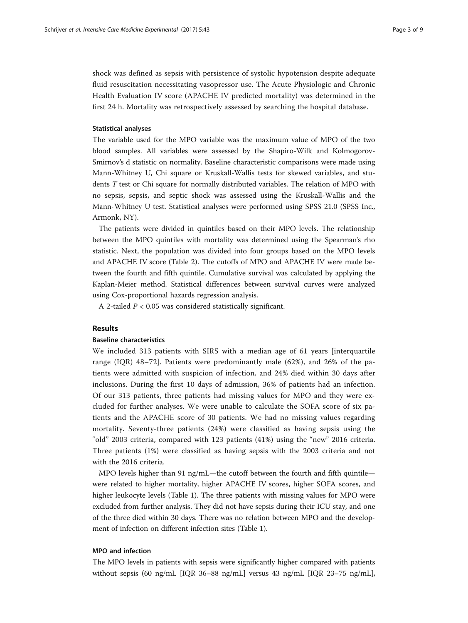shock was defined as sepsis with persistence of systolic hypotension despite adequate fluid resuscitation necessitating vasopressor use. The Acute Physiologic and Chronic Health Evaluation IV score (APACHE IV predicted mortality) was determined in the first 24 h. Mortality was retrospectively assessed by searching the hospital database.

## Statistical analyses

The variable used for the MPO variable was the maximum value of MPO of the two blood samples. All variables were assessed by the Shapiro-Wilk and Kolmogorov-Smirnov's d statistic on normality. Baseline characteristic comparisons were made using Mann-Whitney U, Chi square or Kruskall-Wallis tests for skewed variables, and students T test or Chi square for normally distributed variables. The relation of MPO with no sepsis, sepsis, and septic shock was assessed using the Kruskall-Wallis and the Mann-Whitney U test. Statistical analyses were performed using SPSS 21.0 (SPSS Inc., Armonk, NY).

The patients were divided in quintiles based on their MPO levels. The relationship between the MPO quintiles with mortality was determined using the Spearman's rho statistic. Next, the population was divided into four groups based on the MPO levels and APACHE IV score (Table [2](#page-5-0)). The cutoffs of MPO and APACHE IV were made between the fourth and fifth quintile. Cumulative survival was calculated by applying the Kaplan-Meier method. Statistical differences between survival curves were analyzed using Cox-proportional hazards regression analysis.

A 2-tailed  $P < 0.05$  was considered statistically significant.

## Results

## Baseline characteristics

We included 313 patients with SIRS with a median age of 61 years [interquartile range (IQR) 48–72]. Patients were predominantly male (62%), and 26% of the patients were admitted with suspicion of infection, and 24% died within 30 days after inclusions. During the first 10 days of admission, 36% of patients had an infection. Of our 313 patients, three patients had missing values for MPO and they were excluded for further analyses. We were unable to calculate the SOFA score of six patients and the APACHE score of 30 patients. We had no missing values regarding mortality. Seventy-three patients (24%) were classified as having sepsis using the "old" 2003 criteria, compared with 123 patients (41%) using the "new" 2016 criteria. Three patients (1%) were classified as having sepsis with the 2003 criteria and not with the 2016 criteria.

MPO levels higher than 91 ng/mL—the cutoff between the fourth and fifth quintile were related to higher mortality, higher APACHE IV scores, higher SOFA scores, and higher leukocyte levels (Table [1](#page-3-0)). The three patients with missing values for MPO were excluded from further analysis. They did not have sepsis during their ICU stay, and one of the three died within 30 days. There was no relation between MPO and the development of infection on different infection sites (Table [1](#page-3-0)).

## MPO and infection

The MPO levels in patients with sepsis were significantly higher compared with patients without sepsis (60 ng/mL [IQR 36–88 ng/mL] versus 43 ng/mL [IQR 23–75 ng/mL],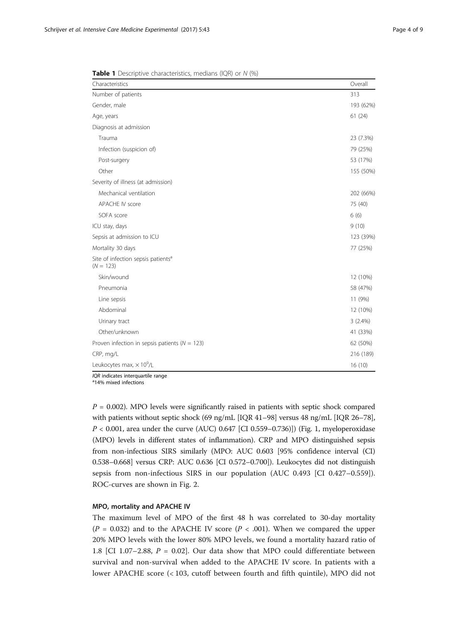| Characteristics                    | Overall   |
|------------------------------------|-----------|
| Number of patients                 | 313       |
| Gender, male                       | 193 (62%) |
| Age, years                         | 61(24)    |
| Diagnosis at admission             |           |
| Trauma                             | 23 (7.3%) |
| Infection (suspicion of)           | 79 (25%)  |
| Post-surgery                       | 53 (17%)  |
| Other                              | 155 (50%) |
| Severity of illness (at admission) |           |
| Mechanical ventilation             | 202 (66%) |
| APACHE IV score                    | 75 (40)   |
| SOFA score                         | 6(6)      |
| ICU stay, days                     | 9(10)     |
| Sepsis at admission to ICU         | 123 (39%) |
| Mortality 30 days                  | 77 (25%)  |

<span id="page-3-0"></span>**Table 1** Descriptive characteristics, medians (IQR) or N (%)

Leukocytes max,  $\times 10^9$ /L /L 16 (10)  $IQR$  indicates interquartile range

Site of infection sepsis patients<sup>a</sup>

 $(N = 123)$ 

<sup>a</sup>14% mixed infections

 $P = 0.002$ ). MPO levels were significantly raised in patients with septic shock compared with patients without septic shock (69 ng/mL [IQR 41–98] versus 48 ng/mL [IQR 26–78],  $P < 0.001$ , area under the curve (AUC) 0.647 [CI 0.559–0.736]]) (Fig. [1](#page-4-0), myeloperoxidase (MPO) levels in different states of inflammation). CRP and MPO distinguished sepsis from non-infectious SIRS similarly (MPO: AUC 0.603 [95% confidence interval (CI) 0.538–0.668] versus CRP: AUC 0.636 [CI 0.572–0.700]). Leukocytes did not distinguish sepsis from non-infectious SIRS in our population (AUC 0.493 [CI 0.427–0.559]). ROC-curves are shown in Fig. [2](#page-4-0).

Skin/wound 12 (10%) Pneumonia 58 (47%) Line sepsis 11 (9%) Abdominal 12 (10%) and 12 (10%) and 12 (10%) and 12 (10%) and 12 (10%) and 12 (10%) and 12 (10%) and 12 (10%) Urinary tract 3 (2.4%) Other/unknown 41 (33%) Proven infection in sepsis patients  $(N = 123)$  62 (50%) CRP, mg/L 216 (189)

#### MPO, mortality and APACHE IV

The maximum level of MPO of the first 48 h was correlated to 30-day mortality  $(P = 0.032)$  and to the APACHE IV score  $(P < .001)$ . When we compared the upper 20% MPO levels with the lower 80% MPO levels, we found a mortality hazard ratio of 1.8 [CI 1.07-2.88,  $P = 0.02$ ]. Our data show that MPO could differentiate between survival and non-survival when added to the APACHE IV score. In patients with a lower APACHE score (< 103, cutoff between fourth and fifth quintile), MPO did not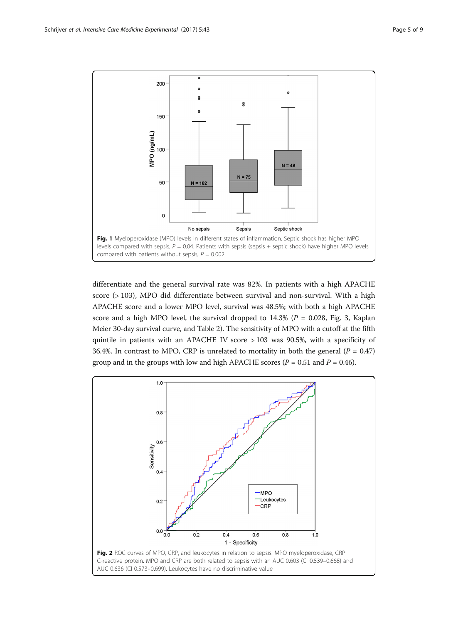<span id="page-4-0"></span>

differentiate and the general survival rate was 82%. In patients with a high APACHE score (> 103), MPO did differentiate between survival and non-survival. With a high APACHE score and a lower MPO level, survival was 48.5%; with both a high APACHE score and a high MPO level, the survival dropped to  $14.3\%$  ( $P = 0.028$ , Fig. [3](#page-5-0), Kaplan Meier 30-day survival curve, and Table [2](#page-5-0)). The sensitivity of MPO with a cutoff at the fifth quintile in patients with an APACHE IV score > 103 was 90.5%, with a specificity of 36.4%. In contrast to MPO, CRP is unrelated to mortality in both the general ( $P = 0.47$ ) group and in the groups with low and high APACHE scores ( $P = 0.51$  and  $P = 0.46$ ).

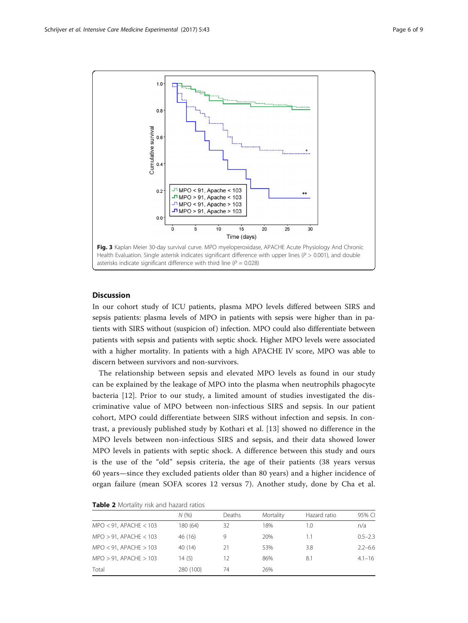<span id="page-5-0"></span>

## **Discussion**

In our cohort study of ICU patients, plasma MPO levels differed between SIRS and sepsis patients: plasma levels of MPO in patients with sepsis were higher than in patients with SIRS without (suspicion of) infection. MPO could also differentiate between patients with sepsis and patients with septic shock. Higher MPO levels were associated with a higher mortality. In patients with a high APACHE IV score, MPO was able to discern between survivors and non-survivors.

The relationship between sepsis and elevated MPO levels as found in our study can be explained by the leakage of MPO into the plasma when neutrophils phagocyte bacteria [[12\]](#page-7-0). Prior to our study, a limited amount of studies investigated the discriminative value of MPO between non-infectious SIRS and sepsis. In our patient cohort, MPO could differentiate between SIRS without infection and sepsis. In contrast, a previously published study by Kothari et al. [\[13](#page-7-0)] showed no difference in the MPO levels between non-infectious SIRS and sepsis, and their data showed lower MPO levels in patients with septic shock. A difference between this study and ours is the use of the "old" sepsis criteria, the age of their patients (38 years versus 60 years—since they excluded patients older than 80 years) and a higher incidence of organ failure (mean SOFA scores 12 versus 7). Another study, done by Cha et al.

|                             | N(% )     | Deaths | Mortality | Hazard ratio | 95% CI      |
|-----------------------------|-----------|--------|-----------|--------------|-------------|
| $MPO < 91$ , APACHE < 103   | 180 (64)  | 32     | 18%       | 1.0          | n/a         |
| $MPO > 91$ , APACHE < 103   | 46 (16)   | 9      | 20%       | 1.1          | $0.5 - 2.3$ |
| $MPO < 91$ , APACHE > 103   | 40(14)    | 21     | 53%       | 3.8          | $2.2 - 6.6$ |
| $MPO > 91$ , APACHE $> 103$ | 14(5)     | 12     | 86%       | 8.1          | $4.1 - 16$  |
| Total                       | 280 (100) | 74     | 26%       |              |             |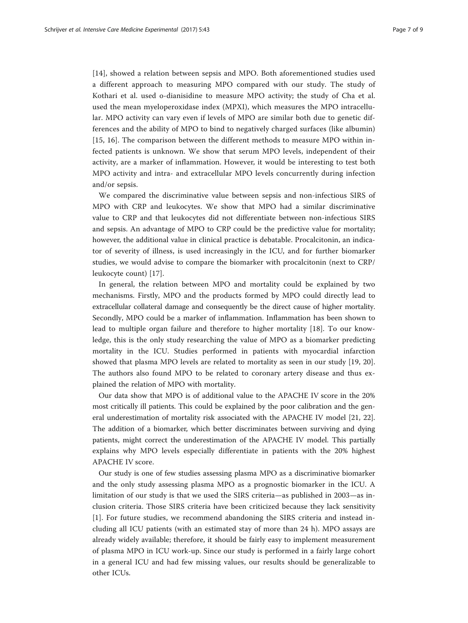[[14](#page-7-0)], showed a relation between sepsis and MPO. Both aforementioned studies used a different approach to measuring MPO compared with our study. The study of Kothari et al. used o-dianisidine to measure MPO activity; the study of Cha et al. used the mean myeloperoxidase index (MPXI), which measures the MPO intracellular. MPO activity can vary even if levels of MPO are similar both due to genetic differences and the ability of MPO to bind to negatively charged surfaces (like albumin) [[15](#page-7-0), [16\]](#page-7-0). The comparison between the different methods to measure MPO within infected patients is unknown. We show that serum MPO levels, independent of their activity, are a marker of inflammation. However, it would be interesting to test both MPO activity and intra- and extracellular MPO levels concurrently during infection and/or sepsis.

We compared the discriminative value between sepsis and non-infectious SIRS of MPO with CRP and leukocytes. We show that MPO had a similar discriminative value to CRP and that leukocytes did not differentiate between non-infectious SIRS and sepsis. An advantage of MPO to CRP could be the predictive value for mortality; however, the additional value in clinical practice is debatable. Procalcitonin, an indicator of severity of illness, is used increasingly in the ICU, and for further biomarker studies, we would advise to compare the biomarker with procalcitonin (next to CRP/ leukocyte count) [\[17](#page-7-0)].

In general, the relation between MPO and mortality could be explained by two mechanisms. Firstly, MPO and the products formed by MPO could directly lead to extracellular collateral damage and consequently be the direct cause of higher mortality. Secondly, MPO could be a marker of inflammation. Inflammation has been shown to lead to multiple organ failure and therefore to higher mortality [[18\]](#page-8-0). To our knowledge, this is the only study researching the value of MPO as a biomarker predicting mortality in the ICU. Studies performed in patients with myocardial infarction showed that plasma MPO levels are related to mortality as seen in our study [[19, 20](#page-8-0)]. The authors also found MPO to be related to coronary artery disease and thus explained the relation of MPO with mortality.

Our data show that MPO is of additional value to the APACHE IV score in the 20% most critically ill patients. This could be explained by the poor calibration and the general underestimation of mortality risk associated with the APACHE IV model [\[21, 22](#page-8-0)]. The addition of a biomarker, which better discriminates between surviving and dying patients, might correct the underestimation of the APACHE IV model. This partially explains why MPO levels especially differentiate in patients with the 20% highest APACHE IV score.

Our study is one of few studies assessing plasma MPO as a discriminative biomarker and the only study assessing plasma MPO as a prognostic biomarker in the ICU. A limitation of our study is that we used the SIRS criteria—as published in 2003—as inclusion criteria. Those SIRS criteria have been criticized because they lack sensitivity [[1\]](#page-7-0). For future studies, we recommend abandoning the SIRS criteria and instead including all ICU patients (with an estimated stay of more than 24 h). MPO assays are already widely available; therefore, it should be fairly easy to implement measurement of plasma MPO in ICU work-up. Since our study is performed in a fairly large cohort in a general ICU and had few missing values, our results should be generalizable to other ICUs.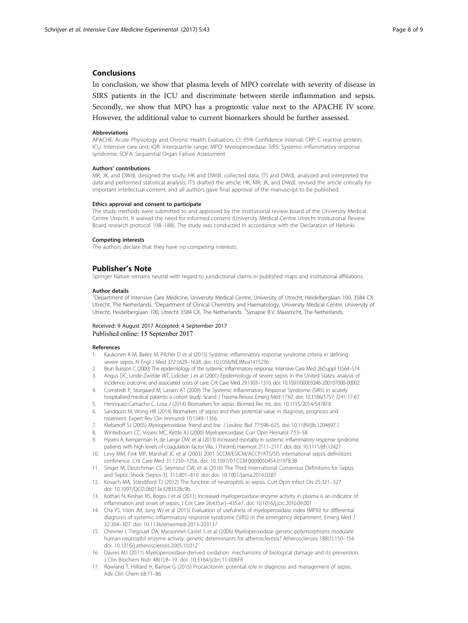### <span id="page-7-0"></span>Conclusions

In conclusion, we show that plasma levels of MPO correlate with severity of disease in SIRS patients in the ICU and discriminate between sterile inflammation and sepsis. Secondly, we show that MPO has a prognostic value next to the APACHE IV score. However, the additional value to current biomarkers should be further assessed.

#### Abbreviations

APACHE: Acute Physiology and Chronic Health Evaluation; CI: 95% Confidence interval; CRP: C-reactive protein; ICU: Intensive care unit; IQR: Interquartile range; MPO: Myeloperoxidase; SIRS: Systemic inflammatory response syndrome; SOFA: Sequential Organ Failure Assessment

#### Authors' contributions

MR, JK, and DWdL designed the study; HK and DWdL collected data; ITS and DWdL analyzed and interpreted the data and performed statistical analysis; ITS drafted the article; HK, MR, JK, and DWdL revised the article critically for important intellectual content; and all authors gave final approval of the manuscript to be published.

#### Ethics approval and consent to participate

The study methods were submitted to and approved by the institutional review board of the University Medical Centre Utrecht. It waived the need for informed consent (University Medical Centre Utrecht Institutional Review Board research protocol 108–188). The study was conducted in accordance with the Declaration of Helsinki.

#### Competing interests

The authors declare that they have no competing interests.

### Publisher's Note

Springer Nature remains neutral with regard to jurisdictional claims in published maps and institutional affiliations.

#### Author details

<sup>1</sup>Department of Intensive Care Medicine, University Medical Centre, University of Utrecht, Heidelberglaan 100, 3584 CX Utrecht, The Netherlands. <sup>2</sup>Department of Clinical Chemistry and Haematology, University Medical Centre, University of Utrecht, Heidelberglaan 100, Utrecht 3584 CX, The Netherlands. <sup>3</sup>Synapse B.V, Maastricht, The Netherlands.

#### Received: 9 August 2017 Accepted: 4 September 2017 Published online: 15 September 2017

#### References

- 1. Kaukonen K-M, Bailey M, Pilcher D et al (2015) Systemic inflammatory response syndrome criteria in defining severe sepsis. N Engl J Med 372:1629–1638. doi: [10.1056/NEJMoa1415236](http://dx.doi.org/10.1056/NEJMoa1415236)
- 2. Brun Buisson C (2000) The epidemiology of the systemic inflammatory response. Intensive Care Med 26(Suppl 1):S64–S74
- 3. Angus DC, Linde-Zwirble WT, Lidicker J et al (2001) Epidemiology of severe sepsis in the United States: analysis of incidence, outcome, and associated costs of care. Crit Care Med 29:1303–1310. doi: [10.1097/00003246-200107000-00002](http://dx.doi.org/10.1097/00003246-200107000-00002)
- 4. Comstedt P, Storgaard M, Lassen AT (2009) The Systemic Inflammatory Response Syndrome (SIRS) in acutely hospitalised medical patients: a cohort study. Scand J Trauma Resusc Emerg Med 17:67. doi: [10.1186/1757-7241-17-67](http://dx.doi.org/10.1186/1757-7241-17-67)
- 5. Henriquez-Camacho C, Losa J (2014) Biomarkers for sepsis. Biomed Res Int. doi: [10.1155/2014/547818](http://dx.doi.org/10.1155/2014/547818)
- 6. Sandquist M, Wong HR (2014) Biomarkers of sepsis and their potential value in diagnosis, prognosis and treatment. Expert Rev Clin Immunol 10:1349–1356.
- 7. Klebanoff SJ (2005) Myeloperoxidase: friend and foe. J Leukoc Biol 77:598–625. doi: [10.1189/jlb.1204697.1](http://dx.doi.org/10.1189/jlb.1204697.1)
- 8. Winterbourn CC, Vissers MC, Kettle AJ (2000) Myeloperoxidase. Curr Opin Hematol 7:53–58
- 9. Hyseni A, Kemperman H, de Lange DW, et al (2013) Increased mortality in systemic inflammatory response syndrome patients with high levels of coagulation factor VIIa. J Thromb Haemost 2111–2117. doi: doi: [10.1111/jth.12427](http://dx.doi.org/10.1111/jth.12427)
- 10. Levy MM, Fink MP, Marshall JC et al (2003) 2001 SCCM/ESICM/ACCP/ATS/SIS international sepsis definitions conference. Crit Care Med 31:1250–1256. doi: [10.1097/01.CCM.0000050454.01978.3B](http://dx.doi.org/10.1097/01.CCM.0000050454.01978.3B)
- 11. Singer M, Deutchman CS, Seymour CW, et al (2016) The Third International Consensus Definitions for Sepsis and Septic Shock (Sepsis-3). 315:801–810. doi: doi: [10.1001/jama.2016.0287](http://dx.doi.org/10.1001/jama.2016.0287)
- 12. Kovach MA, Standiford TJ (2012) The function of neutrophils in sepsis. Curr Opin Infect Dis 25:321–327. doi: [10.1097/QCO.0b013e3283528c9b](http://dx.doi.org/10.1097/QCO.0b013e3283528c9b)
- 13. Kothari N, Keshari RS, Bogra J et al (2011) Increased myeloperoxidase enzyme activity in plasma is an indicator of inflammation and onset of sepsis. J Crit Care 26:435.e1–435.e7. doi: [10.1016/j.jcrc.2010.09.001](http://dx.doi.org/10.1016/j.jcrc.2010.09.001)
- 14. Cha YS, Yoon JM, Jung WJ et al (2015) Evaluation of usefulness of myeloperoxidase index (MPXI) for differential diagnosis of systemic inflammatory response syndrome (SIRS) in the emergency department. Emerg Med J 32:304–307. doi: [10.1136/emermed-2013-203137](http://dx.doi.org/10.1136/emermed-2013-203137)
- 15. Chevrier I, Tregouet DA, Massonnet-Castel S et al (2006) Myeloperoxidase genetic polymorphisms modulate human neutrophil enzyme activity: genetic determinants for atherosclerosis? Atherosclerosis 188(1):150–154. doi: [10.1016/j.atherosclerosis.2005.10.012](http://dx.doi.org/10.1016/j.atherosclerosis.2005.10.012)
- 16. Davies MJ (2011) Myeloperoxidase-derived oxidation: mechanisms of biological damage and its prevention. J Clin Biochem Nutr 48(1):8–19. doi: [10.3164/jcbn.11-006FR](http://dx.doi.org/10.3164/jcbn.11-006FR)
- 17. Rowland T, Hilliard H, Barlow G (2015) Procalcitonin: potential role in diagnosis and management of sepsis. Adv Clin Chem 68:71–86